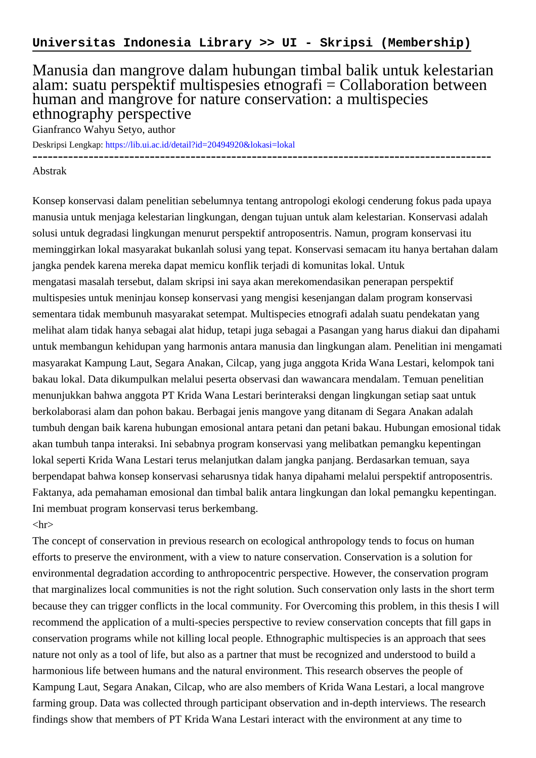## Manusia dan mangrove dalam hubungan timbal balik untuk kelestarian alam: suatu perspektif multispesies etnografi = Collaboration between human and mangrove for nature conservation: a multispecies ethnography perspective

Gianfranco Wahyu Setyo, author

Deskripsi Lengkap:<https://lib.ui.ac.id/detail?id=20494920&lokasi=lokal>

------------------------------------------------------------------------------------------

## Abstrak

Konsep konservasi dalam penelitian sebelumnya tentang antropologi ekologi cenderung fokus pada upaya manusia untuk menjaga kelestarian lingkungan, dengan tujuan untuk alam kelestarian. Konservasi adalah solusi untuk degradasi lingkungan menurut perspektif antroposentris. Namun, program konservasi itu meminggirkan lokal masyarakat bukanlah solusi yang tepat. Konservasi semacam itu hanya bertahan dalam jangka pendek karena mereka dapat memicu konflik terjadi di komunitas lokal. Untuk mengatasi masalah tersebut, dalam skripsi ini saya akan merekomendasikan penerapan perspektif multispesies untuk meninjau konsep konservasi yang mengisi kesenjangan dalam program konservasi sementara tidak membunuh masyarakat setempat. Multispecies etnografi adalah suatu pendekatan yang melihat alam tidak hanya sebagai alat hidup, tetapi juga sebagai a Pasangan yang harus diakui dan dipahami untuk membangun kehidupan yang harmonis antara manusia dan lingkungan alam. Penelitian ini mengamati masyarakat Kampung Laut, Segara Anakan, Cilcap, yang juga anggota Krida Wana Lestari, kelompok tani bakau lokal. Data dikumpulkan melalui peserta observasi dan wawancara mendalam. Temuan penelitian menunjukkan bahwa anggota PT Krida Wana Lestari berinteraksi dengan lingkungan setiap saat untuk berkolaborasi alam dan pohon bakau. Berbagai jenis mangove yang ditanam di Segara Anakan adalah tumbuh dengan baik karena hubungan emosional antara petani dan petani bakau. Hubungan emosional tidak akan tumbuh tanpa interaksi. Ini sebabnya program konservasi yang melibatkan pemangku kepentingan lokal seperti Krida Wana Lestari terus melanjutkan dalam jangka panjang. Berdasarkan temuan, saya berpendapat bahwa konsep konservasi seharusnya tidak hanya dipahami melalui perspektif antroposentris. Faktanya, ada pemahaman emosional dan timbal balik antara lingkungan dan lokal pemangku kepentingan. Ini membuat program konservasi terus berkembang.

## $\langle$ hr $>$

The concept of conservation in previous research on ecological anthropology tends to focus on human efforts to preserve the environment, with a view to nature conservation. Conservation is a solution for environmental degradation according to anthropocentric perspective. However, the conservation program that marginalizes local communities is not the right solution. Such conservation only lasts in the short term because they can trigger conflicts in the local community. For Overcoming this problem, in this thesis I will recommend the application of a multi-species perspective to review conservation concepts that fill gaps in conservation programs while not killing local people. Ethnographic multispecies is an approach that sees nature not only as a tool of life, but also as a partner that must be recognized and understood to build a harmonious life between humans and the natural environment. This research observes the people of Kampung Laut, Segara Anakan, Cilcap, who are also members of Krida Wana Lestari, a local mangrove farming group. Data was collected through participant observation and in-depth interviews. The research findings show that members of PT Krida Wana Lestari interact with the environment at any time to